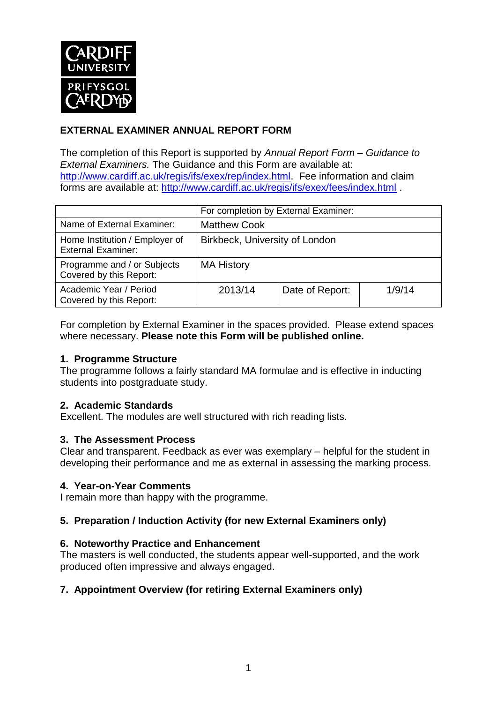

## **EXTERNAL EXAMINER ANNUAL REPORT FORM**

The completion of this Report is supported by *Annual Report Form – Guidance to External Examiners.* The Guidance and this Form are available at: [http://www.cardiff.ac.uk/regis/ifs/exex/rep/index.html.](http://www.cardiff.ac.uk/regis/ifs/exex/rep/index.html) Fee information and claim forms are available at:<http://www.cardiff.ac.uk/regis/ifs/exex/fees/index.html> .

|                                                             | For completion by External Examiner: |                 |        |  |
|-------------------------------------------------------------|--------------------------------------|-----------------|--------|--|
| Name of External Examiner:                                  | <b>Matthew Cook</b>                  |                 |        |  |
| Home Institution / Employer of<br><b>External Examiner:</b> | Birkbeck, University of London       |                 |        |  |
| Programme and / or Subjects<br>Covered by this Report:      | <b>MA History</b>                    |                 |        |  |
| Academic Year / Period<br>Covered by this Report:           | 2013/14                              | Date of Report: | 1/9/14 |  |

For completion by External Examiner in the spaces provided. Please extend spaces where necessary. **Please note this Form will be published online.**

#### **1. Programme Structure**

The programme follows a fairly standard MA formulae and is effective in inducting students into postgraduate study.

#### **2. Academic Standards**

Excellent. The modules are well structured with rich reading lists.

#### **3. The Assessment Process**

Clear and transparent. Feedback as ever was exemplary – helpful for the student in developing their performance and me as external in assessing the marking process.

#### **4. Year-on-Year Comments**

I remain more than happy with the programme.

#### **5. Preparation / Induction Activity (for new External Examiners only)**

#### **6. Noteworthy Practice and Enhancement**

The masters is well conducted, the students appear well-supported, and the work produced often impressive and always engaged.

#### **7. Appointment Overview (for retiring External Examiners only)**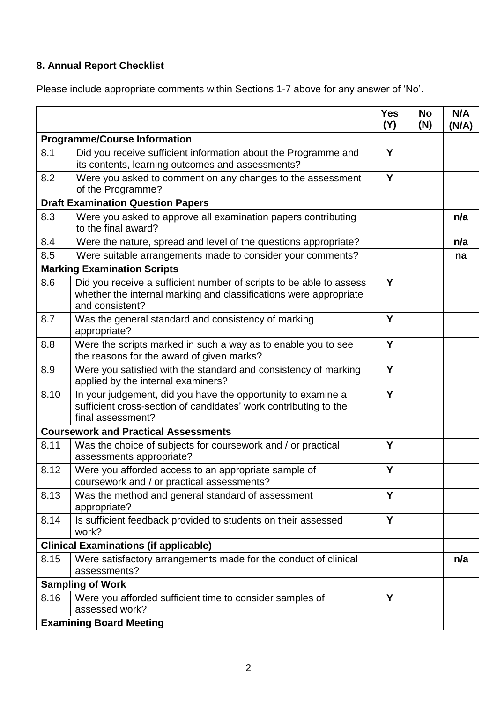# **8. Annual Report Checklist**

Please include appropriate comments within Sections 1-7 above for any answer of 'No'.

|                                             |                                                                                                                                                             | <b>Yes</b><br>(Y) | <b>No</b><br>(N) | N/A<br>(N/A) |
|---------------------------------------------|-------------------------------------------------------------------------------------------------------------------------------------------------------------|-------------------|------------------|--------------|
| <b>Programme/Course Information</b>         |                                                                                                                                                             |                   |                  |              |
| 8.1                                         | Did you receive sufficient information about the Programme and<br>its contents, learning outcomes and assessments?                                          | Y                 |                  |              |
| 8.2                                         | Were you asked to comment on any changes to the assessment<br>of the Programme?                                                                             | Y                 |                  |              |
| <b>Draft Examination Question Papers</b>    |                                                                                                                                                             |                   |                  |              |
| 8.3                                         | Were you asked to approve all examination papers contributing<br>to the final award?                                                                        |                   |                  | n/a          |
| 8.4                                         | Were the nature, spread and level of the questions appropriate?                                                                                             |                   |                  | n/a          |
| 8.5                                         | Were suitable arrangements made to consider your comments?                                                                                                  |                   |                  | na           |
| <b>Marking Examination Scripts</b>          |                                                                                                                                                             |                   |                  |              |
| 8.6                                         | Did you receive a sufficient number of scripts to be able to assess<br>whether the internal marking and classifications were appropriate<br>and consistent? | Y                 |                  |              |
| 8.7                                         | Was the general standard and consistency of marking<br>appropriate?                                                                                         | Y                 |                  |              |
| 8.8                                         | Were the scripts marked in such a way as to enable you to see<br>the reasons for the award of given marks?                                                  | Y                 |                  |              |
| 8.9                                         | Were you satisfied with the standard and consistency of marking<br>applied by the internal examiners?                                                       | Y                 |                  |              |
| 8.10                                        | In your judgement, did you have the opportunity to examine a<br>sufficient cross-section of candidates' work contributing to the<br>final assessment?       | Y                 |                  |              |
| <b>Coursework and Practical Assessments</b> |                                                                                                                                                             |                   |                  |              |
| 8.11                                        | Was the choice of subjects for coursework and / or practical<br>assessments appropriate?                                                                    | Y                 |                  |              |
| 8.12                                        | Were you afforded access to an appropriate sample of<br>coursework and / or practical assessments?                                                          | Y                 |                  |              |
| 8.13                                        | Was the method and general standard of assessment<br>appropriate?                                                                                           | Υ                 |                  |              |
| 8.14                                        | Is sufficient feedback provided to students on their assessed<br>work?                                                                                      | Y                 |                  |              |
|                                             | <b>Clinical Examinations (if applicable)</b>                                                                                                                |                   |                  |              |
| 8.15                                        | Were satisfactory arrangements made for the conduct of clinical<br>assessments?                                                                             |                   |                  | n/a          |
| <b>Sampling of Work</b>                     |                                                                                                                                                             |                   |                  |              |
| 8.16                                        | Were you afforded sufficient time to consider samples of<br>assessed work?                                                                                  | Y                 |                  |              |
|                                             | <b>Examining Board Meeting</b>                                                                                                                              |                   |                  |              |